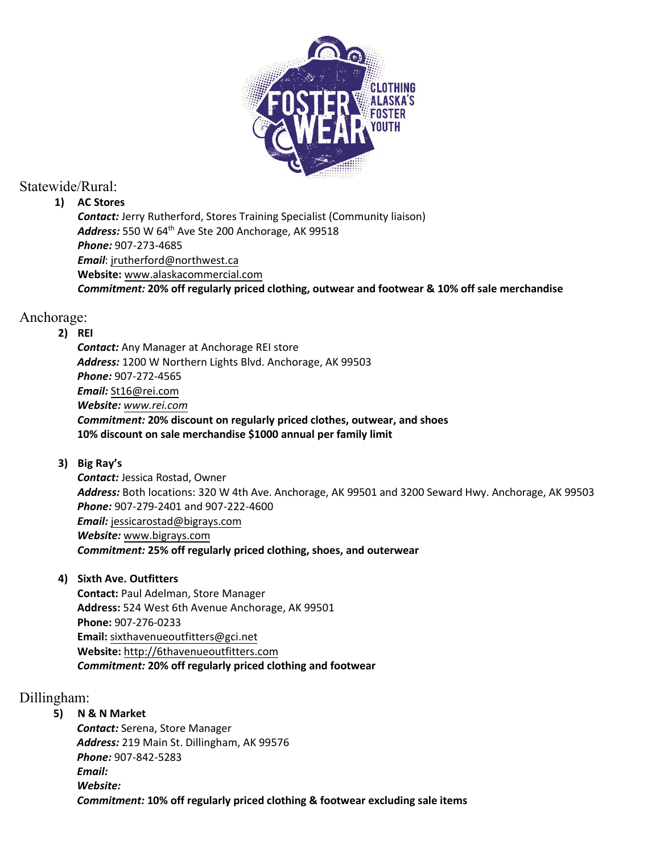

# Statewide/Rural:

## **1) AC Stores**

*Contact:* Jerry Rutherford, Stores Training Specialist (Community liaison) Address: 550 W 64<sup>th</sup> Ave Ste 200 Anchorage, AK 99518 *Phone:* 907-273-4685 *Email*: [jrutherford@northwest.ca](mailto:jrutherford@northwest.ca) **Website:** www.alaskacommercial.com *Commitment:* **20% off regularly priced clothing, outwear and footwear & 10% off sale merchandise**

# Anchorage:

## **2) REI**

*Contact:* Any Manager at Anchorage REI store *Address:* 1200 W Northern Lights Blvd. Anchorage, AK 99503 *Phone:* 907-272-4565 *Email:* [St16@rei.com](mailto:St16@rei.com) *Website: www.rei.com Commitment:* **20% discount on regularly priced clothes, outwear, and shoes 10% discount on sale merchandise \$1000 annual per family limit**

## **3) Big Ray's**

*Contact:* Jessica Rostad, Owner *Address:* Both locations: 320 W 4th Ave. Anchorage, AK 99501 and 3200 Seward Hwy. Anchorage, AK 99503 *Phone:* 907-279-2401 and 907-222-4600 *Email:* jessicarostad@bigrays.com *Website:* www.bigrays.com *Commitment:* **25% off regularly priced clothing, shoes, and outerwear**

**4) Sixth Ave. Outfitters**

**Contact:** Paul Adelman, Store Manager **Address:** 524 West 6th Avenue Anchorage, AK 99501 **Phone:** 907-276-0233 **Email:** sixthavenueoutfitters@gci.net **Website:** http://6thavenueoutfitters.com *Commitment:* **20% off regularly priced clothing and footwear**

# Dillingham:

**5) N & N Market**

*Contact:* Serena, Store Manager *Address:* 219 Main St. Dillingham, AK 99576 *Phone:* 907-842-5283 *Email: Website: Commitment:* **10% off regularly priced clothing & footwear excluding sale items**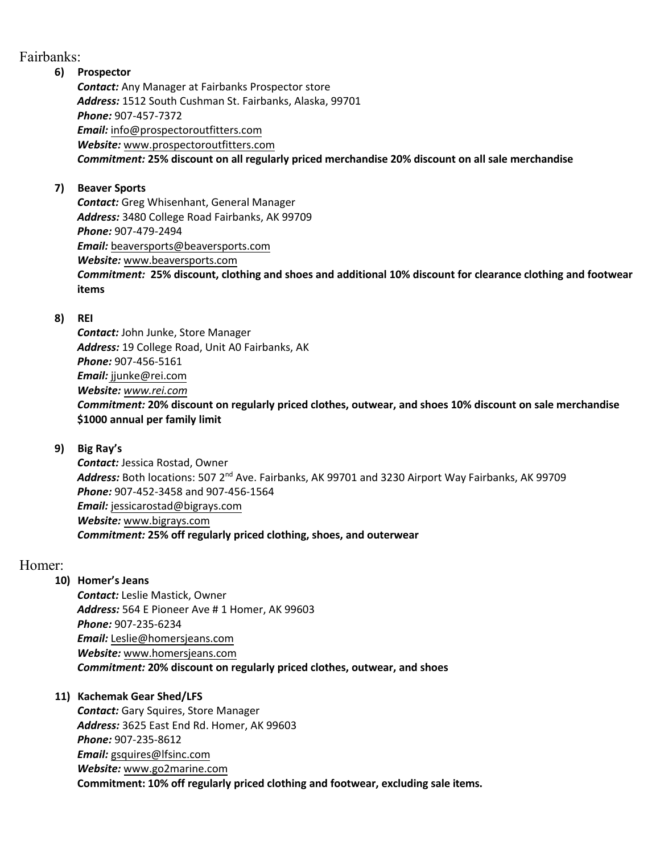## Fairbanks:

#### **6) Prospector**

*Contact:* Any Manager at Fairbanks Prospector store *Address:* 1512 South Cushman St. Fairbanks, Alaska, 99701 *Phone:* 907-457-7372 *Email:* [info@prospectoroutfitters.com](mailto:adrienne@prospectoroutfitters.com) *Website:* www.prospectoroutfitters.com *Commitment:* **25% discount on all regularly priced merchandise 20% discount on all sale merchandise**

#### **7) Beaver Sports**

*Contact:* Greg Whisenhant, General Manager *Address:* 3480 College Road Fairbanks, AK 99709 *Phone:* 907-479-2494 *Email:* beaversports@beaversports.com *Website:* www.beaversports.com

*Commitment:* **25% discount, clothing and shoes and additional 10% discount for clearance clothing and footwear items**

#### **8) REI**

*Contact:* John Junke, Store Manager *Address:* 19 College Road, Unit A0 Fairbanks, AK *Phone:* 907-456-5161 *Email:* jjunke@rei.com *Website: www.rei.com Commitment:* **20% discount on regularly priced clothes, outwear, and shoes 10% discount on sale merchandise \$1000 annual per family limit**

### **9) Big Ray's**

*Contact:* Jessica Rostad, Owner Address: Both locations: 507 2<sup>nd</sup> Ave. Fairbanks, AK 99701 and 3230 Airport Way Fairbanks, AK 99709 *Phone:* 907-452-3458 and 907-456-1564 *Email:* jessicarostad@bigrays.com *Website:* www.bigrays.com *Commitment:* **25% off regularly priced clothing, shoes, and outerwear**

### Homer:

### **10) Homer's Jeans**

*Contact:* Leslie Mastick, Owner *Address:* 564 E Pioneer Ave # 1 Homer, AK 99603 *Phone:* 907-235-6234 *Email:* Leslie@homersjeans.com *Website:* www.homersjeans.com *Commitment:* **20% discount on regularly priced clothes, outwear, and shoes**

### **11) Kachemak Gear Shed/LFS**

*Contact:* Gary Squires, Store Manager *Address:* 3625 East End Rd. Homer, AK 99603 *Phone:* 907-235-8612 *Email:* gsquires@lfsinc.com *Website:* www.go2marine.com **Commitment: 10% off regularly priced clothing and footwear, excluding sale items.**